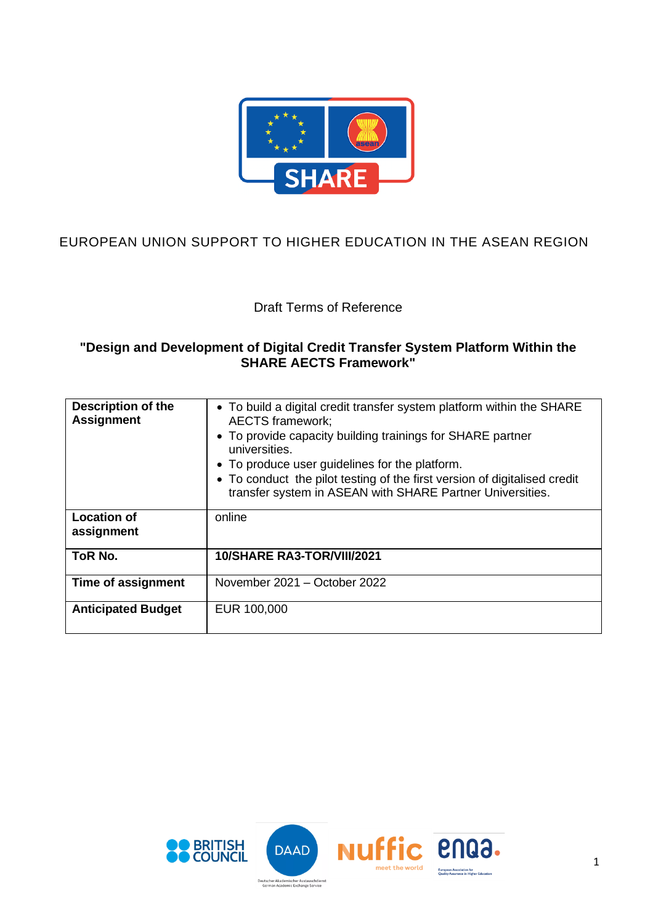

# EUROPEAN UNION SUPPORT TO HIGHER EDUCATION IN THE ASEAN REGION

Draft Terms of Reference

### **"Design and Development of Digital Credit Transfer System Platform Within the SHARE AECTS Framework"**

| <b>Description of the</b><br><b>Assignment</b> | • To build a digital credit transfer system platform within the SHARE<br><b>AECTS</b> framework;<br>• To provide capacity building trainings for SHARE partner<br>universities.<br>• To produce user guidelines for the platform.<br>• To conduct the pilot testing of the first version of digitalised credit<br>transfer system in ASEAN with SHARE Partner Universities. |
|------------------------------------------------|-----------------------------------------------------------------------------------------------------------------------------------------------------------------------------------------------------------------------------------------------------------------------------------------------------------------------------------------------------------------------------|
| <b>Location of</b><br>assignment               | online                                                                                                                                                                                                                                                                                                                                                                      |
| ToR No.                                        | 10/SHARE RA3-TOR/VIII/2021                                                                                                                                                                                                                                                                                                                                                  |
| Time of assignment                             | November 2021 - October 2022                                                                                                                                                                                                                                                                                                                                                |
| <b>Anticipated Budget</b>                      | EUR 100,000                                                                                                                                                                                                                                                                                                                                                                 |

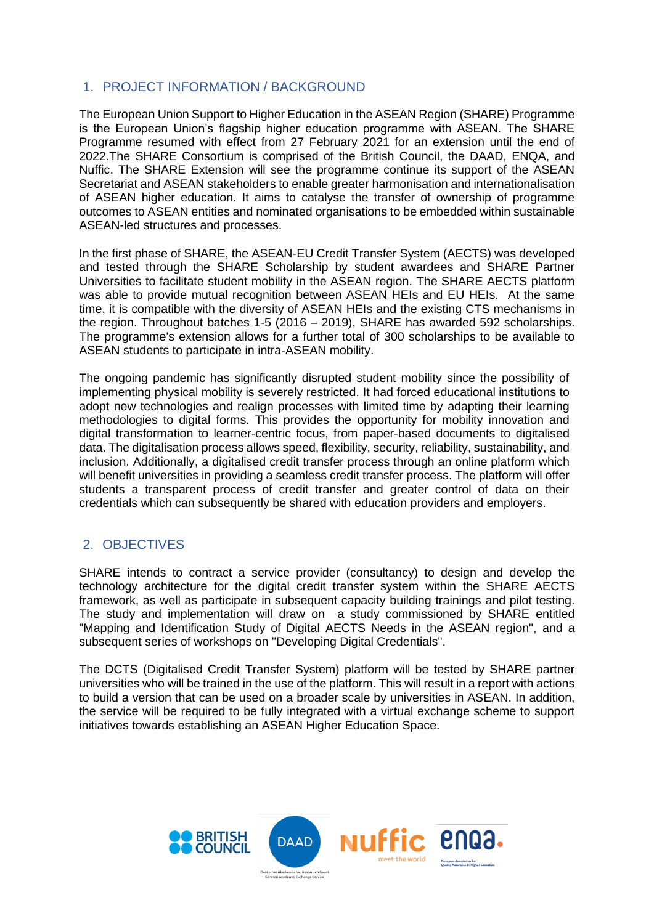# 1. PROJECT INFORMATION / BACKGROUND

The European Union Support to Higher Education in the ASEAN Region (SHARE) Programme is the European Union's flagship higher education programme with ASEAN. The SHARE Programme resumed with effect from 27 February 2021 for an extension until the end of 2022.The SHARE Consortium is comprised of the British Council, the DAAD, ENQA, and Nuffic. The SHARE Extension will see the programme continue its support of the ASEAN Secretariat and ASEAN stakeholders to enable greater harmonisation and internationalisation of ASEAN higher education. It aims to catalyse the transfer of ownership of programme outcomes to ASEAN entities and nominated organisations to be embedded within sustainable ASEAN-led structures and processes.

In the first phase of SHARE, the ASEAN-EU Credit Transfer System (AECTS) was developed and tested through the SHARE Scholarship by student awardees and SHARE Partner Universities to facilitate student mobility in the ASEAN region. The SHARE AECTS platform was able to provide mutual recognition between ASEAN HEIs and EU HEIs. At the same time, it is compatible with the diversity of ASEAN HEIs and the existing CTS mechanisms in the region. Throughout batches 1-5 (2016 – 2019), SHARE has awarded 592 scholarships. The programme's extension allows for a further total of 300 scholarships to be available to ASEAN students to participate in intra-ASEAN mobility.

The ongoing pandemic has significantly disrupted student mobility since the possibility of implementing physical mobility is severely restricted. It had forced educational institutions to adopt new technologies and realign processes with limited time by adapting their learning methodologies to digital forms. This provides the opportunity for mobility innovation and digital transformation to learner-centric focus, from paper-based documents to digitalised data. The digitalisation process allows speed, flexibility, security, reliability, sustainability, and inclusion. Additionally, a digitalised credit transfer process through an online platform which will benefit universities in providing a seamless credit transfer process. The platform will offer students a transparent process of credit transfer and greater control of data on their credentials which can subsequently be shared with education providers and employers.

# 2. OBJECTIVES

SHARE intends to contract a service provider (consultancy) to design and develop the technology architecture for the digital credit transfer system within the SHARE AECTS framework, as well as participate in subsequent capacity building trainings and pilot testing. The study and implementation will draw on a study commissioned by SHARE entitled "Mapping and Identification Study of Digital AECTS Needs in the ASEAN region", and a subsequent series of workshops on "Developing Digital Credentials".

The DCTS (Digitalised Credit Transfer System) platform will be tested by SHARE partner universities who will be trained in the use of the platform. This will result in a report with actions to build a version that can be used on a broader scale by universities in ASEAN. In addition, the service will be required to be fully integrated with a virtual exchange scheme to support initiatives towards establishing an ASEAN Higher Education Space.

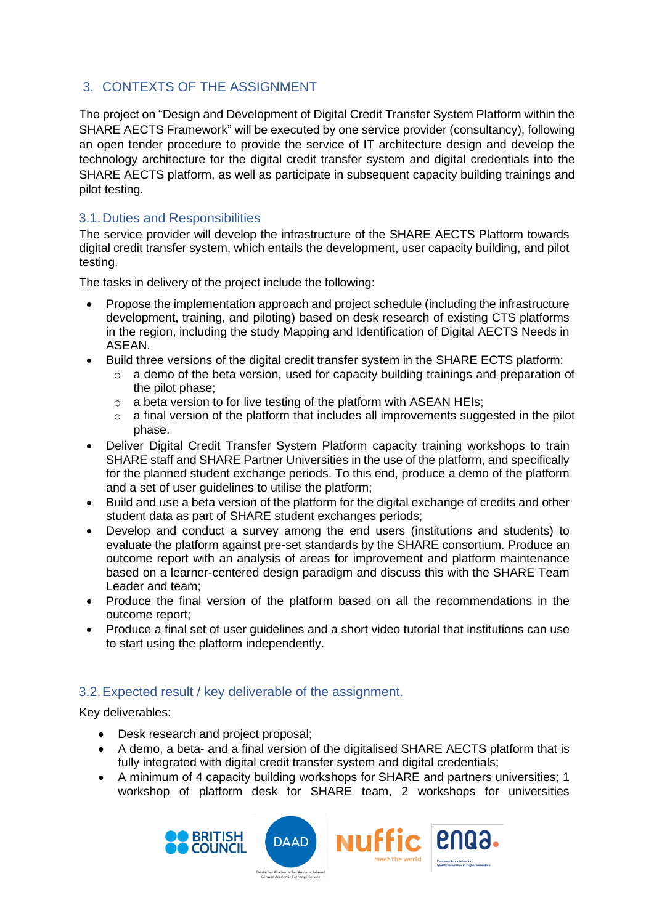# 3. CONTEXTS OF THE ASSIGNMENT

The project on "Design and Development of Digital Credit Transfer System Platform within the SHARE AECTS Framework" will be executed by one service provider (consultancy), following an open tender procedure to provide the service of IT architecture design and develop the technology architecture for the digital credit transfer system and digital credentials into the SHARE AECTS platform, as well as participate in subsequent capacity building trainings and pilot testing.

## 3.1.Duties and Responsibilities

The service provider will develop the infrastructure of the SHARE AECTS Platform towards digital credit transfer system, which entails the development, user capacity building, and pilot testing.

The tasks in delivery of the project include the following:

- Propose the implementation approach and project schedule (including the infrastructure development, training, and piloting) based on desk research of existing CTS platforms in the region, including the study Mapping and Identification of Digital AECTS Needs in ASEAN.
- Build three versions of the digital credit transfer system in the SHARE ECTS platform:
	- o a demo of the beta version, used for capacity building trainings and preparation of the pilot phase;
	- o a beta version to for live testing of the platform with ASEAN HEIs;
	- o a final version of the platform that includes all improvements suggested in the pilot phase.
- Deliver Digital Credit Transfer System Platform capacity training workshops to train SHARE staff and SHARE Partner Universities in the use of the platform, and specifically for the planned student exchange periods. To this end, produce a demo of the platform and a set of user guidelines to utilise the platform;
- Build and use a beta version of the platform for the digital exchange of credits and other student data as part of SHARE student exchanges periods;
- Develop and conduct a survey among the end users (institutions and students) to evaluate the platform against pre-set standards by the SHARE consortium. Produce an outcome report with an analysis of areas for improvement and platform maintenance based on a learner-centered design paradigm and discuss this with the SHARE Team Leader and team;
- Produce the final version of the platform based on all the recommendations in the outcome report;
- Produce a final set of user guidelines and a short video tutorial that institutions can use to start using the platform independently.

# 3.2.Expected result / key deliverable of the assignment.

Key deliverables:

- Desk research and project proposal;
- A demo, a beta- and a final version of the digitalised SHARE AECTS platform that is fully integrated with digital credit transfer system and digital credentials;
- A minimum of 4 capacity building workshops for SHARE and partners universities; 1 workshop of platform desk for SHARE team, 2 workshops for universities





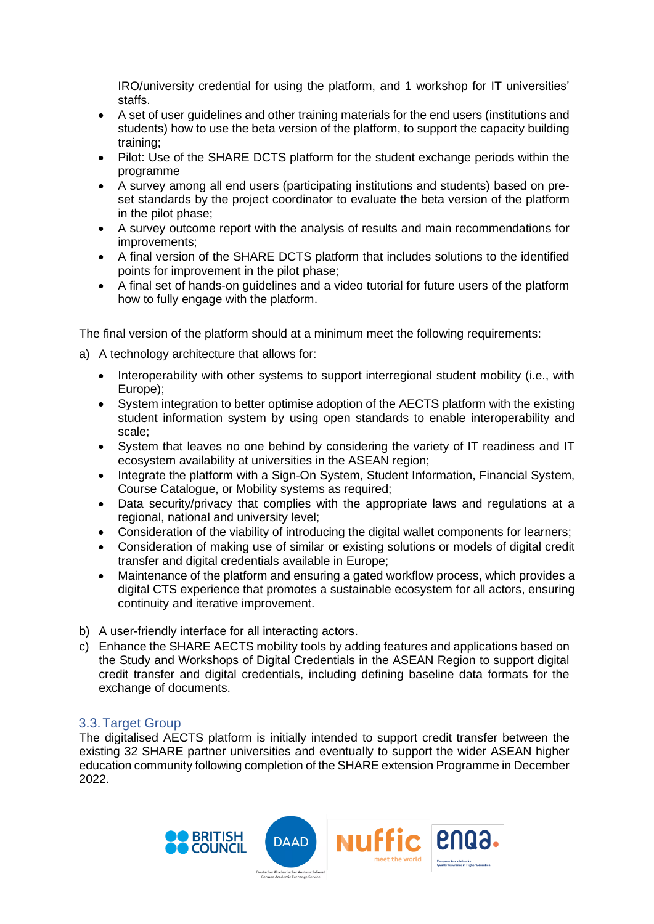IRO/university credential for using the platform, and 1 workshop for IT universities' staffs.

- A set of user guidelines and other training materials for the end users (institutions and students) how to use the beta version of the platform, to support the capacity building training;
- Pilot: Use of the SHARE DCTS platform for the student exchange periods within the programme
- A survey among all end users (participating institutions and students) based on preset standards by the project coordinator to evaluate the beta version of the platform in the pilot phase;
- A survey outcome report with the analysis of results and main recommendations for improvements;
- A final version of the SHARE DCTS platform that includes solutions to the identified points for improvement in the pilot phase;
- A final set of hands-on guidelines and a video tutorial for future users of the platform how to fully engage with the platform.

The final version of the platform should at a minimum meet the following requirements:

- a) A technology architecture that allows for:
	- Interoperability with other systems to support interregional student mobility (i.e., with Europe);
	- System integration to better optimise adoption of the AECTS platform with the existing student information system by using open standards to enable interoperability and scale;
	- System that leaves no one behind by considering the variety of IT readiness and IT ecosystem availability at universities in the ASEAN region;
	- Integrate the platform with a Sign-On System, Student Information, Financial System, Course Catalogue, or Mobility systems as required;
	- Data security/privacy that complies with the appropriate laws and regulations at a regional, national and university level;
	- Consideration of the viability of introducing the digital wallet components for learners;
	- Consideration of making use of similar or existing solutions or models of digital credit transfer and digital credentials available in Europe;
	- Maintenance of the platform and ensuring a gated workflow process, which provides a digital CTS experience that promotes a sustainable ecosystem for all actors, ensuring continuity and iterative improvement.
- b) A user-friendly interface for all interacting actors.
- c) Enhance the SHARE AECTS mobility tools by adding features and applications based on the Study and Workshops of Digital Credentials in the ASEAN Region to support digital credit transfer and digital credentials, including defining baseline data formats for the exchange of documents.

#### 3.3.Target Group

The digitalised AECTS platform is initially intended to support credit transfer between the existing 32 SHARE partner universities and eventually to support the wider ASEAN higher education community following completion of the SHARE extension Programme in December 2022.

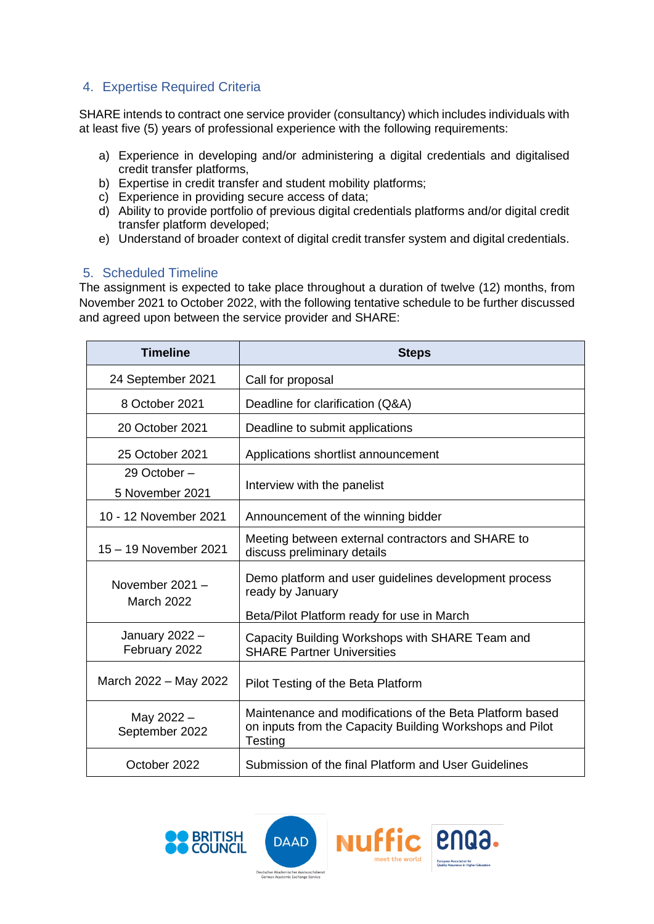# 4. Expertise Required Criteria

SHARE intends to contract one service provider (consultancy) which includes individuals with at least five (5) years of professional experience with the following requirements:

- a) Experience in developing and/or administering a digital credentials and digitalised credit transfer platforms,
- b) Expertise in credit transfer and student mobility platforms;
- c) Experience in providing secure access of data;
- d) Ability to provide portfolio of previous digital credentials platforms and/or digital credit transfer platform developed;
- e) Understand of broader context of digital credit transfer system and digital credentials.

#### 5. Scheduled Timeline

The assignment is expected to take place throughout a duration of twelve (12) months, from November 2021 to October 2022, with the following tentative schedule to be further discussed and agreed upon between the service provider and SHARE:

| <b>Timeline</b>                        | <b>Steps</b>                                                                                                                    |
|----------------------------------------|---------------------------------------------------------------------------------------------------------------------------------|
| 24 September 2021                      | Call for proposal                                                                                                               |
| 8 October 2021                         | Deadline for clarification (Q&A)                                                                                                |
| 20 October 2021                        | Deadline to submit applications                                                                                                 |
| 25 October 2021                        | Applications shortlist announcement                                                                                             |
| 29 October –<br>5 November 2021        | Interview with the panelist                                                                                                     |
| 10 - 12 November 2021                  | Announcement of the winning bidder                                                                                              |
| 15 - 19 November 2021                  | Meeting between external contractors and SHARE to<br>discuss preliminary details                                                |
| November $2021 -$<br><b>March 2022</b> | Demo platform and user guidelines development process<br>ready by January<br>Beta/Pilot Platform ready for use in March         |
| January 2022 -<br>February 2022        | Capacity Building Workshops with SHARE Team and<br><b>SHARE Partner Universities</b>                                            |
| March 2022 - May 2022                  | Pilot Testing of the Beta Platform                                                                                              |
| May 2022 -<br>September 2022           | Maintenance and modifications of the Beta Platform based<br>on inputs from the Capacity Building Workshops and Pilot<br>Testing |
| October 2022                           | Submission of the final Platform and User Guidelines                                                                            |





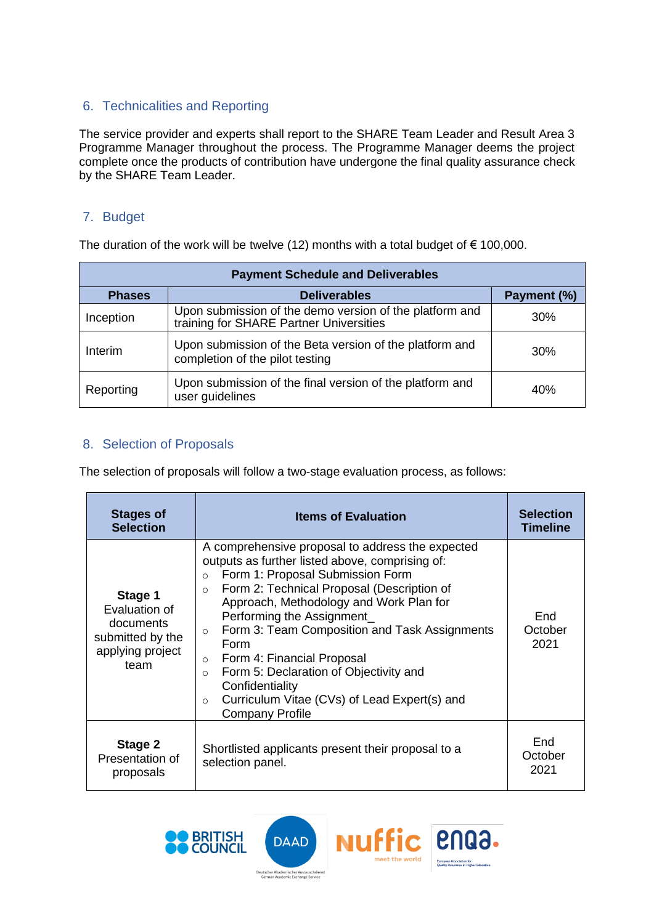## 6. Technicalities and Reporting

The service provider and experts shall report to the SHARE Team Leader and Result Area 3 Programme Manager throughout the process. The Programme Manager deems the project complete once the products of contribution have undergone the final quality assurance check by the SHARE Team Leader.

#### 7. Budget

The duration of the work will be twelve (12) months with a total budget of  $\epsilon$  100,000.

| <b>Payment Schedule and Deliverables</b> |                                                                                                    |             |  |  |
|------------------------------------------|----------------------------------------------------------------------------------------------------|-------------|--|--|
| <b>Phases</b>                            | <b>Deliverables</b>                                                                                | Payment (%) |  |  |
| Inception                                | Upon submission of the demo version of the platform and<br>training for SHARE Partner Universities | 30%         |  |  |
| Interim                                  | Upon submission of the Beta version of the platform and<br>completion of the pilot testing         | 30%         |  |  |
| Reporting                                | Upon submission of the final version of the platform and<br>user guidelines                        | 40%         |  |  |

### 8. Selection of Proposals

The selection of proposals will follow a two-stage evaluation process, as follows:

| <b>Stages of</b><br><b>Selection</b>                                                  | <b>Items of Evaluation</b>                                                                                                                                                                                                                                                                                                                                                                                                                                                                                                                                        | <b>Selection</b><br><b>Timeline</b> |
|---------------------------------------------------------------------------------------|-------------------------------------------------------------------------------------------------------------------------------------------------------------------------------------------------------------------------------------------------------------------------------------------------------------------------------------------------------------------------------------------------------------------------------------------------------------------------------------------------------------------------------------------------------------------|-------------------------------------|
| Stage 1<br>Evaluation of<br>documents<br>submitted by the<br>applying project<br>team | A comprehensive proposal to address the expected<br>outputs as further listed above, comprising of:<br>Form 1: Proposal Submission Form<br>$\circ$<br>Form 2: Technical Proposal (Description of<br>$\Omega$<br>Approach, Methodology and Work Plan for<br>Performing the Assignment<br>Form 3: Team Composition and Task Assignments<br>$\circ$<br>Form<br>Form 4: Financial Proposal<br>$\Omega$<br>Form 5: Declaration of Objectivity and<br>$\Omega$<br>Confidentiality<br>Curriculum Vitae (CVs) of Lead Expert(s) and<br>$\Omega$<br><b>Company Profile</b> | End<br>October<br>2021              |
| Stage 2<br>Presentation of<br>proposals                                               | Shortlisted applicants present their proposal to a<br>selection panel.                                                                                                                                                                                                                                                                                                                                                                                                                                                                                            | End<br>October<br>2021              |